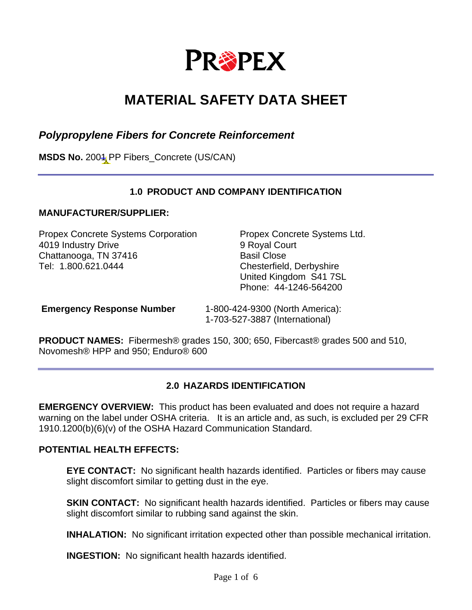

# **MATERIAL SAFETY DATA SHEET**

# *Polypropylene Fibers for Concrete Reinforcement*

**MSDS No.** 2004 PP Fibers\_Concrete (US/CAN)

## **1.0 PRODUCT AND COMPANY IDENTIFICATION**

#### **MANUFACTURER/SUPPLIER:**

Propex Concrete Systems Corporation Propex Concrete Systems Ltd. 4019 Industry Drive 9 Royal Court Chattanooga, TN 37416 Basil Close Tel: 1.800.621.0444 Chesterfield, Derbyshire

United Kingdom S41 7SL Phone: 44-1246-564200

**Emergency Response Number** 1-800-424-9300 (North America): 1-703-527-3887 (International)

**PRODUCT NAMES:** Fibermesh® grades 150, 300; 650, Fibercast® grades 500 and 510, Novomesh® HPP and 950; Enduro® 600

#### **2.0 HAZARDS IDENTIFICATION**

**EMERGENCY OVERVIEW:** This product has been evaluated and does not require a hazard warning on the label under OSHA criteria. It is an article and, as such, is excluded per 29 CFR 1910.1200(b)(6)(v) of the OSHA Hazard Communication Standard.

#### **POTENTIAL HEALTH EFFECTS:**

**EYE CONTACT:** No significant health hazards identified. Particles or fibers may cause slight discomfort similar to getting dust in the eye.

**SKIN CONTACT:** No significant health hazards identified. Particles or fibers may cause slight discomfort similar to rubbing sand against the skin.

**INHALATION:** No significant irritation expected other than possible mechanical irritation.

**INGESTION:** No significant health hazards identified.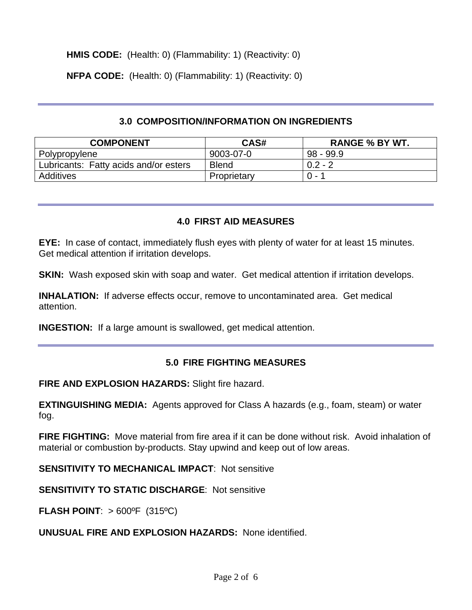**HMIS CODE:** (Health: 0) (Flammability: 1) (Reactivity: 0)

**NFPA CODE:** (Health: 0) (Flammability: 1) (Reactivity: 0)

#### **3.0 COMPOSITION/INFORMATION ON INGREDIENTS**

| <b>COMPONENT</b>                      | CAS#         | <b>RANGE % BY WT.</b> |
|---------------------------------------|--------------|-----------------------|
| Polypropylene                         | 9003-07-0    | $98 - 99.9$           |
| Lubricants: Fatty acids and/or esters | <b>Blend</b> | $0.2 - 2$             |
| Additives                             | Proprietary  | $0 -$                 |

## **4.0 FIRST AID MEASURES**

**EYE:** In case of contact, immediately flush eyes with plenty of water for at least 15 minutes. Get medical attention if irritation develops.

**SKIN:** Wash exposed skin with soap and water. Get medical attention if irritation develops.

**INHALATION:** If adverse effects occur, remove to uncontaminated area. Get medical attention.

**INGESTION:** If a large amount is swallowed, get medical attention.

# **5.0 FIRE FIGHTING MEASURES**

**FIRE AND EXPLOSION HAZARDS:** Slight fire hazard.

**EXTINGUISHING MEDIA:** Agents approved for Class A hazards (e.g., foam, steam) or water fog.

**FIRE FIGHTING:** Move material from fire area if it can be done without risk. Avoid inhalation of material or combustion by-products. Stay upwind and keep out of low areas.

**SENSITIVITY TO MECHANICAL IMPACT: Not sensitive** 

**SENSITIVITY TO STATIC DISCHARGE**: Not sensitive

**FLASH POINT**: > 600ºF (315ºC)

**UNUSUAL FIRE AND EXPLOSION HAZARDS:** None identified.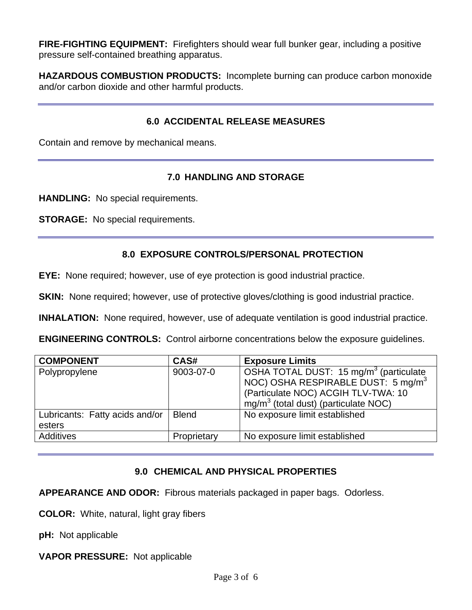**FIRE-FIGHTING EQUIPMENT:** Firefighters should wear full bunker gear, including a positive pressure self-contained breathing apparatus.

**HAZARDOUS COMBUSTION PRODUCTS:** Incomplete burning can produce carbon monoxide and/or carbon dioxide and other harmful products.

## **6.0 ACCIDENTAL RELEASE MEASURES**

Contain and remove by mechanical means.

## **7.0 HANDLING AND STORAGE**

**HANDLING:** No special requirements.

**STORAGE:** No special requirements.

## **8.0 EXPOSURE CONTROLS/PERSONAL PROTECTION**

**EYE:** None required; however, use of eye protection is good industrial practice.

**SKIN:** None required; however, use of protective gloves/clothing is good industrial practice.

**INHALATION:** None required, however, use of adequate ventilation is good industrial practice.

**ENGINEERING CONTROLS:** Control airborne concentrations below the exposure guidelines.

| <b>COMPONENT</b>                         | CAS#         | <b>Exposure Limits</b>                                                                                                                                                                |
|------------------------------------------|--------------|---------------------------------------------------------------------------------------------------------------------------------------------------------------------------------------|
| Polypropylene                            | 9003-07-0    | OSHA TOTAL DUST: 15 mg/m <sup>3</sup> (particulate<br>NOC) OSHA RESPIRABLE DUST: 5 mg/m <sup>3</sup><br>(Particulate NOC) ACGIH TLV-TWA: 10<br>$mg/m3$ (total dust) (particulate NOC) |
| Lubricants: Fatty acids and/or<br>esters | <b>Blend</b> | No exposure limit established                                                                                                                                                         |
| Additives                                | Proprietary  | No exposure limit established                                                                                                                                                         |

# **9.0 CHEMICAL AND PHYSICAL PROPERTIES**

**APPEARANCE AND ODOR:** Fibrous materials packaged in paper bags. Odorless.

**COLOR:** White, natural, light gray fibers

**pH:** Not applicable

**VAPOR PRESSURE:** Not applicable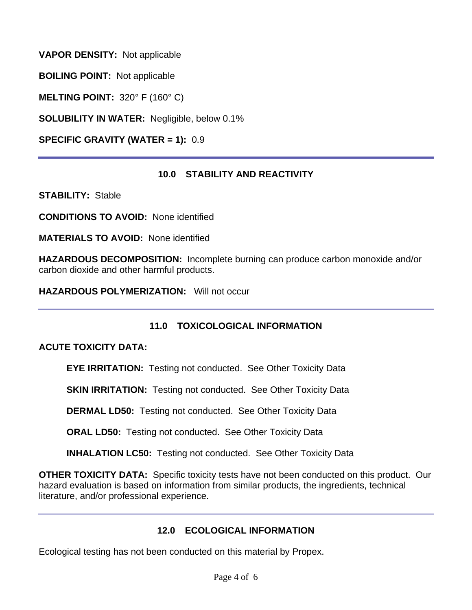**VAPOR DENSITY:** Not applicable

**BOILING POINT:** Not applicable

**MELTING POINT:** 320° F (160° C)

**SOLUBILITY IN WATER:** Negligible, below 0.1%

**SPECIFIC GRAVITY (WATER = 1):** 0.9

## **10.0 STABILITY AND REACTIVITY**

**STABILITY:** Stable

**CONDITIONS TO AVOID:** None identified

**MATERIALS TO AVOID:** None identified

**HAZARDOUS DECOMPOSITION:** Incomplete burning can produce carbon monoxide and/or carbon dioxide and other harmful products.

**HAZARDOUS POLYMERIZATION:** Will not occur

# **11.0 TOXICOLOGICAL INFORMATION**

## **ACUTE TOXICITY DATA:**

**EYE IRRITATION:** Testing not conducted. See Other Toxicity Data

**SKIN IRRITATION:** Testing not conducted. See Other Toxicity Data

**DERMAL LD50:** Testing not conducted. See Other Toxicity Data

**ORAL LD50:** Testing not conducted. See Other Toxicity Data

**INHALATION LC50:** Testing not conducted. See Other Toxicity Data

**OTHER TOXICITY DATA:** Specific toxicity tests have not been conducted on this product. Our hazard evaluation is based on information from similar products, the ingredients, technical literature, and/or professional experience.

#### **12.0 ECOLOGICAL INFORMATION**

Ecological testing has not been conducted on this material by Propex.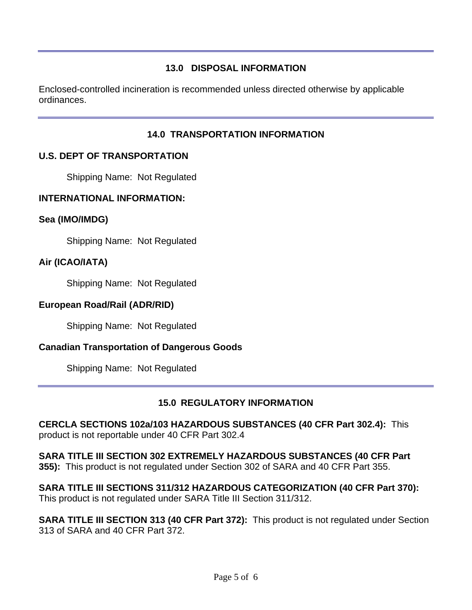# **13.0 DISPOSAL INFORMATION**

Enclosed-controlled incineration is recommended unless directed otherwise by applicable ordinances.

# **14.0 TRANSPORTATION INFORMATION**

# **U.S. DEPT OF TRANSPORTATION**

Shipping Name: Not Regulated

## **INTERNATIONAL INFORMATION:**

## **Sea (IMO/IMDG)**

Shipping Name: Not Regulated

# **Air (ICAO/IATA)**

Shipping Name: Not Regulated

#### **European Road/Rail (ADR/RID)**

Shipping Name: Not Regulated

# **Canadian Transportation of Dangerous Goods**

Shipping Name: Not Regulated

# **15.0 REGULATORY INFORMATION**

**CERCLA SECTIONS 102a/103 HAZARDOUS SUBSTANCES (40 CFR Part 302.4):** This product is not reportable under 40 CFR Part 302.4

**SARA TITLE III SECTION 302 EXTREMELY HAZARDOUS SUBSTANCES (40 CFR Part 355):** This product is not regulated under Section 302 of SARA and 40 CFR Part 355.

**SARA TITLE III SECTIONS 311/312 HAZARDOUS CATEGORIZATION (40 CFR Part 370):** This product is not regulated under SARA Title III Section 311/312.

**SARA TITLE III SECTION 313 (40 CFR Part 372):** This product is not regulated under Section 313 of SARA and 40 CFR Part 372.